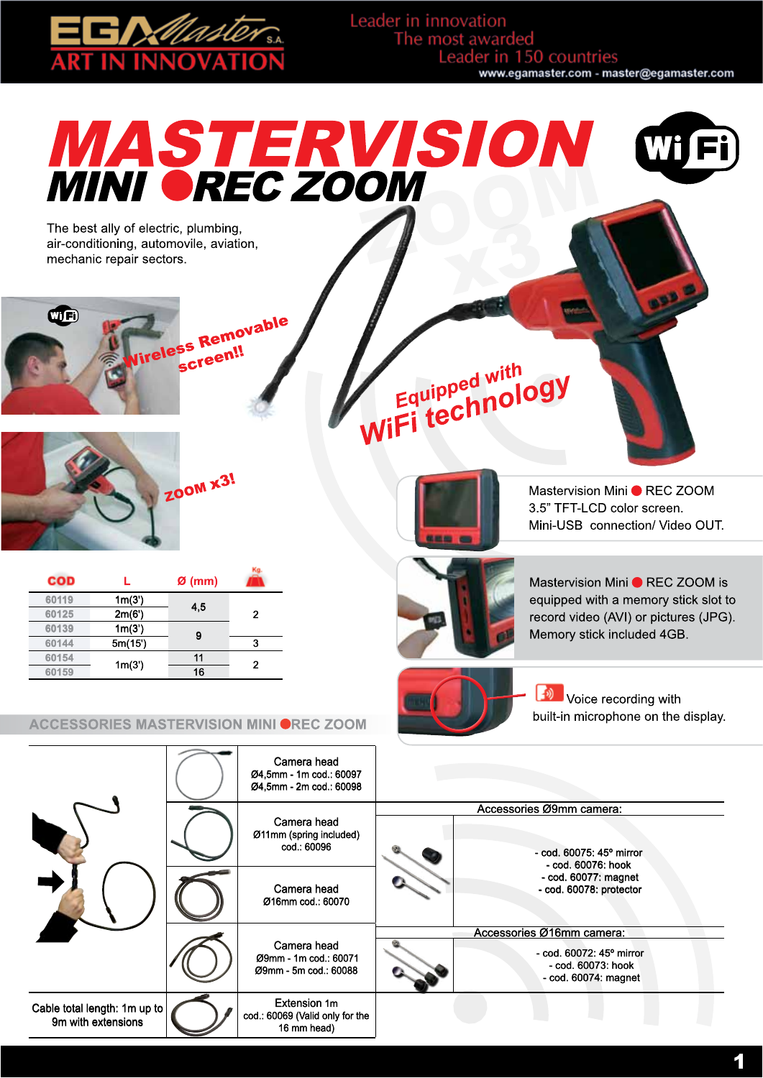

Leader in innovation The most awarded Leader in 150 countries www.egamaster.com - master@egamaster.com